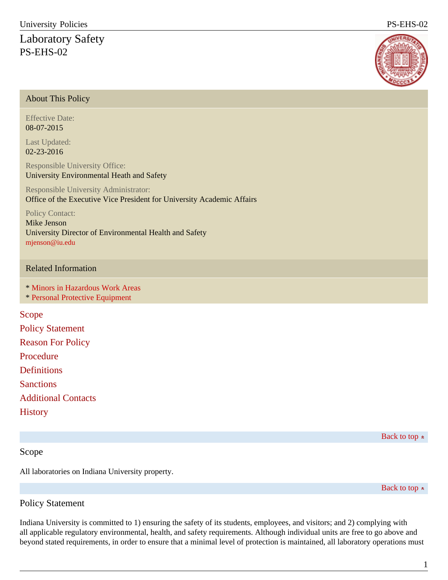# Laboratory Safety PS-EHS-02



## About This Policy

Effective Date: 08-07-2015

Last Updated: 02-23-2016

Responsible University Office: University Environmental Heath and Safety

Responsible University Administrator: Office of the Executive Vice President for University Academic Affairs

Policy Contact: Mike Jenson

University Director of Environmental Health and Safety [mjenson@iu.edu](mailto:mjenson@iu.edu)

#### Related Information

\* [Minors in Hazardous Work Areas](/policies/categories/financial/insurance-loss-control-claims/FIN-INS-15-minors-in-hazardous-work-areasbodyidInheritpage-subtypeNonealternate-link-labelog-imageog-titleshow-in-navYessite://IU-POLICY-WEBS.main/policies/categories/financial/insurance-loss-control-claims/FIN-INS-15-minors-in-hazardous-work-areasIU-POLICY-WEBS.mainFIN-INS-15-minors-in-hazardous-work-areasMinors in Hazardous Work AreasTitleminors, hazardous, hazard, laboratories, laboratoryEstablishes guidelines for appropriate visitation by minors to IU laboratories or work areas with potentially hazardous materials or conditions.)

\* [Personal Protective Equipment](/policies/categories/administration-operations/public-safety-institutional-assurance/PS-EHS-01bodyidInheritpage-subtypeNonealternate-link-labelog-imageog-titleshow-in-navYessite://IU-POLICY-WEBS.main/policies/categories/administration-operations/public-safety-institutional-assurance/PS-EHS-01IU-POLICY-WEBS.mainPS-EHS-01Personal Protective EquipmentTitleprotective, equipment, safety, hazardous, hazard, equipment, protect, protectiveOutlines procedures for personal protective equipment that may be personal in nature.)

Scope Policy Statement Reason For Policy Procedure **Definitions Sanctions** Additional Contacts **History** 

Back to top  $\approx$ 

# Scope

All laboratories on Indiana University property.

Back to top  $\approx$ 

# Policy Statement

Indiana University is committed to 1) ensuring the safety of its students, employees, and visitors; and 2) complying with all applicable regulatory environmental, health, and safety requirements. Although individual units are free to go above and beyond stated requirements, in order to ensure that a minimal level of protection is maintained, all laboratory operations must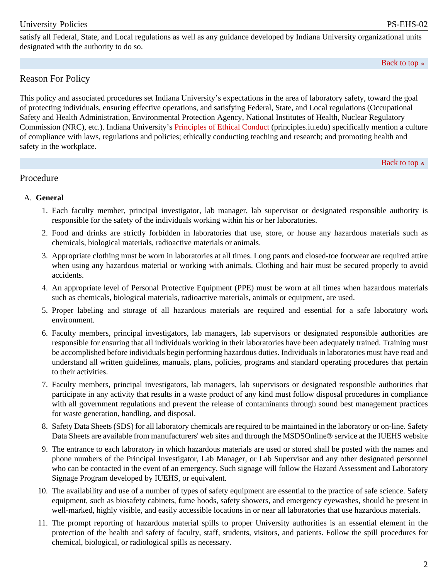satisfy all Federal, State, and Local regulations as well as any guidance developed by Indiana University organizational units designated with the authority to do so.

Back to top  $\approx$ 

# Reason For Policy

This policy and associated procedures set Indiana University's expectations in the area of laboratory safety, toward the goal of protecting individuals, ensuring effective operations, and satisfying Federal, State, and Local regulations (Occupational Safety and Health Administration, Environmental Protection Agency, National Institutes of Health, Nuclear Regulatory Commission (NRC), etc.). Indiana University's [Principles of Ethical Conduct](http://policies.iu.edu//principles.iu.edu/) (principles.iu.edu) specifically mention a culture of compliance with laws, regulations and policies; ethically conducting teaching and research; and promoting health and safety in the workplace.

Back to top  $\approx$ 

# Procedure

## A. **General**

- 1. Each faculty member, principal investigator, lab manager, lab supervisor or designated responsible authority is responsible for the safety of the individuals working within his or her laboratories.
- 2. Food and drinks are strictly forbidden in laboratories that use, store, or house any hazardous materials such as chemicals, biological materials, radioactive materials or animals.
- 3. Appropriate clothing must be worn in laboratories at all times. Long pants and closed-toe footwear are required attire when using any hazardous material or working with animals. Clothing and hair must be secured properly to avoid accidents.
- 4. An appropriate level of Personal Protective Equipment (PPE) must be worn at all times when hazardous materials such as chemicals, biological materials, radioactive materials, animals or equipment, are used.
- 5. Proper labeling and storage of all hazardous materials are required and essential for a safe laboratory work environment.
- 6. Faculty members, principal investigators, lab managers, lab supervisors or designated responsible authorities are responsible for ensuring that all individuals working in their laboratories have been adequately trained. Training must be accomplished before individuals begin performing hazardous duties. Individuals in laboratories must have read and understand all written guidelines, manuals, plans, policies, programs and standard operating procedures that pertain to their activities.
- 7. Faculty members, principal investigators, lab managers, lab supervisors or designated responsible authorities that participate in any activity that results in a waste product of any kind must follow disposal procedures in compliance with all government regulations and prevent the release of contaminants through sound best management practices for waste generation, handling, and disposal.
- 8. Safety Data Sheets (SDS) for all laboratory chemicals are required to be maintained in the laboratory or on-line. Safety Data Sheets are available from manufacturers' web sites and through the MSDSOnline® service at the IUEHS website
- 9. The entrance to each laboratory in which hazardous materials are used or stored shall be posted with the names and phone numbers of the Principal Investigator, Lab Manager, or Lab Supervisor and any other designated personnel who can be contacted in the event of an emergency. Such signage will follow the Hazard Assessment and Laboratory Signage Program developed by IUEHS, or equivalent.
- 10. The availability and use of a number of types of safety equipment are essential to the practice of safe science. Safety equipment, such as biosafety cabinets, fume hoods, safety showers, and emergency eyewashes, should be present in well-marked, highly visible, and easily accessible locations in or near all laboratories that use hazardous materials.
- 11. The prompt reporting of hazardous material spills to proper University authorities is an essential element in the protection of the health and safety of faculty, staff, students, visitors, and patients. Follow the spill procedures for chemical, biological, or radiological spills as necessary.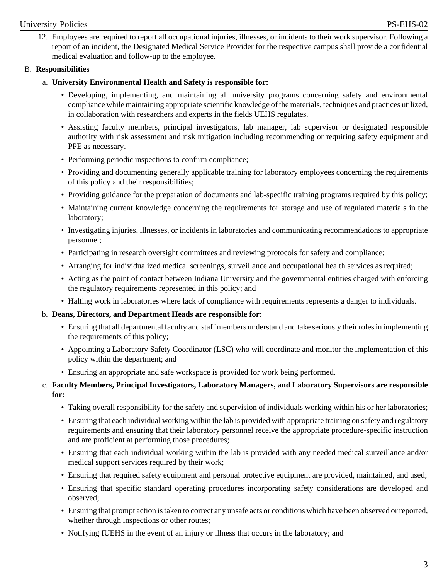#### University Policies PS-EHS-02

12. Employees are required to report all occupational injuries, illnesses, or incidents to their work supervisor. Following a report of an incident, the Designated Medical Service Provider for the respective campus shall provide a confidential medical evaluation and follow-up to the employee.

#### B. **Responsibilities**

#### a. **University Environmental Health and Safety is responsible for:**

- Developing, implementing, and maintaining all university programs concerning safety and environmental compliance while maintaining appropriate scientific knowledge of the materials, techniques and practices utilized, in collaboration with researchers and experts in the fields UEHS regulates.
- Assisting faculty members, principal investigators, lab manager, lab supervisor or designated responsible authority with risk assessment and risk mitigation including recommending or requiring safety equipment and PPE as necessary.
- Performing periodic inspections to confirm compliance;
- Providing and documenting generally applicable training for laboratory employees concerning the requirements of this policy and their responsibilities;
- Providing guidance for the preparation of documents and lab-specific training programs required by this policy;
- Maintaining current knowledge concerning the requirements for storage and use of regulated materials in the laboratory;
- Investigating injuries, illnesses, or incidents in laboratories and communicating recommendations to appropriate personnel;
- Participating in research oversight committees and reviewing protocols for safety and compliance;
- Arranging for individualized medical screenings, surveillance and occupational health services as required;
- Acting as the point of contact between Indiana University and the governmental entities charged with enforcing the regulatory requirements represented in this policy; and
- Halting work in laboratories where lack of compliance with requirements represents a danger to individuals.

## b. **Deans, Directors, and Department Heads are responsible for:**

- Ensuring that all departmental faculty and staff members understand and take seriously their roles in implementing the requirements of this policy;
- Appointing a Laboratory Safety Coordinator (LSC) who will coordinate and monitor the implementation of this policy within the department; and
- Ensuring an appropriate and safe workspace is provided for work being performed.
- c. **Faculty Members, Principal Investigators, Laboratory Managers, and Laboratory Supervisors are responsible for:**
	- Taking overall responsibility for the safety and supervision of individuals working within his or her laboratories;
	- Ensuring that each individual working within the lab is provided with appropriate training on safety and regulatory requirements and ensuring that their laboratory personnel receive the appropriate procedure-specific instruction and are proficient at performing those procedures;
	- Ensuring that each individual working within the lab is provided with any needed medical surveillance and/or medical support services required by their work;
	- Ensuring that required safety equipment and personal protective equipment are provided, maintained, and used;
	- Ensuring that specific standard operating procedures incorporating safety considerations are developed and observed;
	- Ensuring that prompt action is taken to correct any unsafe acts or conditions which have been observed or reported, whether through inspections or other routes;
	- Notifying IUEHS in the event of an injury or illness that occurs in the laboratory; and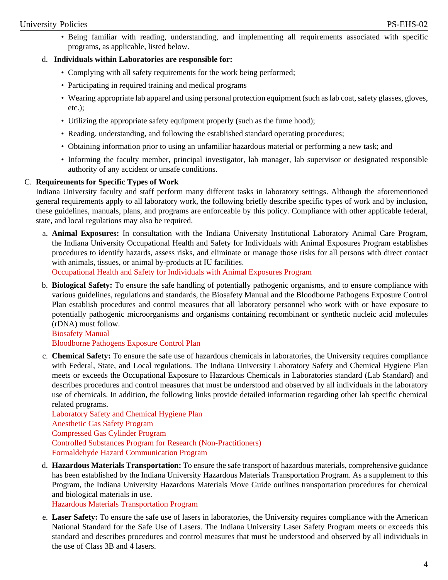## University Policies PS-EHS-02

• Being familiar with reading, understanding, and implementing all requirements associated with specific programs, as applicable, listed below.

#### d. **Individuals within Laboratories are responsible for:**

- Complying with all safety requirements for the work being performed;
- Participating in required training and medical programs
- Wearing appropriate lab apparel and using personal protection equipment (such as lab coat, safety glasses, gloves, etc.);
- Utilizing the appropriate safety equipment properly (such as the fume hood);
- Reading, understanding, and following the established standard operating procedures;
- Obtaining information prior to using an unfamiliar hazardous material or performing a new task; and
- Informing the faculty member, principal investigator, lab manager, lab supervisor or designated responsible authority of any accident or unsafe conditions.

#### C. **Requirements for Specific Types of Work**

Indiana University faculty and staff perform many different tasks in laboratory settings. Although the aforementioned general requirements apply to all laboratory work, the following briefly describe specific types of work and by inclusion, these guidelines, manuals, plans, and programs are enforceable by this policy. Compliance with other applicable federal, state, and local regulations may also be required.

a. **Animal Exposures:** In consultation with the Indiana University Institutional Laboratory Animal Care Program, the Indiana University Occupational Health and Safety for Individuals with Animal Exposures Program establishes procedures to identify hazards, assess risks, and eliminate or manage those risks for all persons with direct contact with animals, tissues, or animal by-products at IU facilities.

[Occupational Health and Safety for Individuals with Animal Exposures Program](http://policies.iu.edu//protect.iu.edu/sites/default/files/IU_Occupational_Health_and_Safety_for_Animal_Users.pdf)

b. **Biological Safety:** To ensure the safe handling of potentially pathogenic organisms, and to ensure compliance with various guidelines, regulations and standards, the Biosafety Manual and the Bloodborne Pathogens Exposure Control Plan establish procedures and control measures that all laboratory personnel who work with or have exposure to potentially pathogenic microorganisms and organisms containing recombinant or synthetic nucleic acid molecules (rDNA) must follow.

#### [Biosafety Manual](http://policies.iu.edu//protect.iu.edu/sites/default/files/IU_Biosafety_Manual.pdf)

[Bloodborne Pathogens Exposure Control Plan](http://policies.iu.edu//protect.iu.edu/sites/default/files/IU_Bloodborne_Pathogens_Exposure_Control_Plan.pdf)

c. **Chemical Safety:** To ensure the safe use of hazardous chemicals in laboratories, the University requires compliance with Federal, State, and Local regulations. The Indiana University Laboratory Safety and Chemical Hygiene Plan meets or exceeds the Occupational Exposure to Hazardous Chemicals in Laboratories standard (Lab Standard) and describes procedures and control measures that must be understood and observed by all individuals in the laboratory use of chemicals. In addition, the following links provide detailed information regarding other lab specific chemical related programs.

[Laboratory Safety and Chemical Hygiene Plan](http://policies.iu.edu//protect.iu.edu/sites/default/files/IU_Laboratory_Safety_and_Chemical_Hygiene_Plan.pdf) [Anesthetic Gas Safety Program](http://policies.iu.edu//protect.iu.edu/sites/default/files/IU_Anesthetic_Gas_Safety_Program_2014.pdf) [Compressed Gas Cylinder Program](http://policies.iu.edu//protect.iu.edu/sites/default/files/IU_Compressed_Gas_Cylinders_Safety_2014.pdf) [Controlled Substances Program for Research \(Non-Practitioners\)](http://policies.iu.edu//protect.iu.edu/sites/default/files/IU_Controlled_Substance_Guidelines_for_Research.pdf) [Formaldehyde Hazard Communication Program](http://policies.iu.edu//protect.iu.edu/sites/default/files/IU_Formaldehdye_Hazard_Commmunications_2014.pdf)

d. **Hazardous Materials Transportation:** To ensure the safe transport of hazardous materials, comprehensive guidance has been established by the Indiana University Hazardous Materials Transportation Program. As a supplement to this Program, the Indiana University Hazardous Materials Move Guide outlines transportation procedures for chemical and biological materials in use.

[Hazardous Materials Transportation Program](http://policies.iu.edu//protect.iu.edu/sites/default/files/IU_Hazardous_Materials_Transportation_Program.pdf)

e. **Laser Safety:** To ensure the safe use of lasers in laboratories, the University requires compliance with the American National Standard for the Safe Use of Lasers. The Indiana University Laser Safety Program meets or exceeds this standard and describes procedures and control measures that must be understood and observed by all individuals in the use of Class 3B and 4 lasers.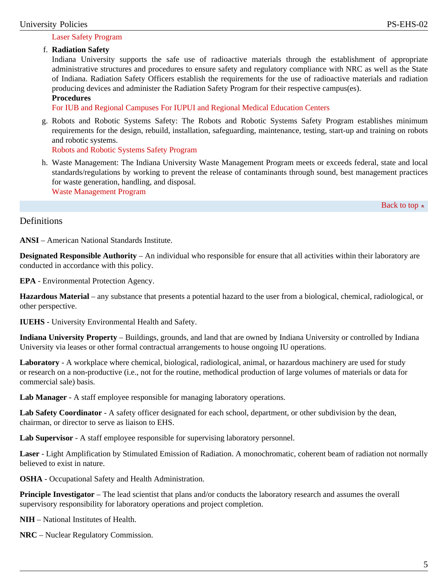#### [Laser Safety Program](http://policies.iu.edu//protect.iu.edu/sites/default/files/IU_Laser_Safety_Program.pdf)

#### f. **Radiation Safety**

Indiana University supports the safe use of radioactive materials through the establishment of appropriate administrative structures and procedures to ensure safety and regulatory compliance with NRC as well as the State of Indiana. Radiation Safety Officers establish the requirements for the use of radioactive materials and radiation producing devices and administer the Radiation Safety Program for their respective campus(es).

#### **Procedures**

[For IUB and Regional Campuses](http://policies.iu.edu//ehs.iu.edu/topics/radiation-safety/index.shtml) [For IUPUI and Regional Medical Education Centers](http://policies.iu.edu//researchcompliance.iu.edu/radsafety/iupui/index.html)

g. Robots and Robotic Systems Safety: The Robots and Robotic Systems Safety Program establishes minimum requirements for the design, rebuild, installation, safeguarding, maintenance, testing, start-up and training on robots and robotic systems.

[Robots and Robotic Systems Safety Program](http://policies.iu.edu//protect.iu.edu/sites/default/files/IU_Robots_and_Robotics_Systems_Program.pdf)

h. Waste Management: The Indiana University Waste Management Program meets or exceeds federal, state and local standards/regulations by working to prevent the release of contaminants through sound, best management practices for waste generation, handling, and disposal. [Waste Management Program](http://policies.iu.edu//protect.iu.edu/sites/default/files/IU_Waste_Management_Program.pdf)

Back to top  $\approx$ 

**Definitions** 

**ANSI** – American National Standards Institute.

**Designated Responsible Authority** – An individual who responsible for ensure that all activities within their laboratory are conducted in accordance with this policy.

**EPA** - Environmental Protection Agency.

**Hazardous Material** – any substance that presents a potential hazard to the user from a biological, chemical, radiological, or other perspective.

**IUEHS** - University Environmental Health and Safety.

**Indiana University Property** – Buildings, grounds, and land that are owned by Indiana University or controlled by Indiana University via leases or other formal contractual arrangements to house ongoing IU operations.

**Laboratory** - A workplace where chemical, biological, radiological, animal, or hazardous machinery are used for study or research on a non-productive (i.e., not for the routine, methodical production of large volumes of materials or data for commercial sale) basis.

Lab Manager - A staff employee responsible for managing laboratory operations.

**Lab Safety Coordinator** - A safety officer designated for each school, department, or other subdivision by the dean, chairman, or director to serve as liaison to EHS.

**Lab Supervisor** - A staff employee responsible for supervising laboratory personnel.

**Laser** - Light Amplification by Stimulated Emission of Radiation. A monochromatic, coherent beam of radiation not normally believed to exist in nature.

**OSHA** - Occupational Safety and Health Administration.

**Principle Investigator** – The lead scientist that plans and/or conducts the laboratory research and assumes the overall supervisory responsibility for laboratory operations and project completion.

**NIH** – National Institutes of Health.

**NRC** – Nuclear Regulatory Commission.